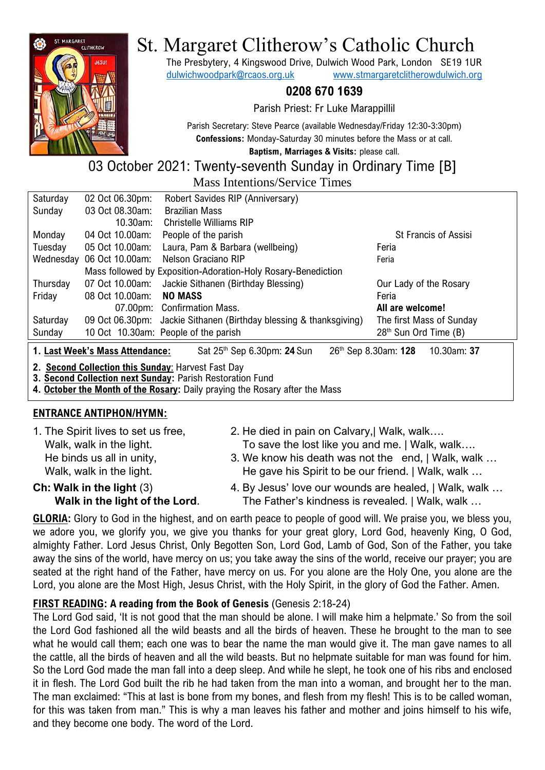

# St. Margaret Clitherow's Catholic Church

The Presbytery, 4 Kingswood Drive, Dulwich Wood Park, London SE19 1UR [dulwichwoodpark@rcaos.org.uk](mailto:dulwichwoodpark@rcaos.org.uk) [www.stmargaretclitherowdulwich.org](http://www.stmargaretclitherowdulwich.org/)

# **0208 670 1639**

Parish Priest: Fr Luke Marappillil

Parish Secretary: Steve Pearce (available Wednesday/Friday 12:30-3:30pm) **Confessions:** Monday-Saturday 30 minutes before the Mass or at call. **Baptism, Marriages & Visits:** please call.

03 October 2021: Twenty-seventh Sunday in Ordinary Time [B] Mass Intentions/Service Times

| Saturday                                                                                                   | 02 Oct 06.30pm:                                               | Robert Savides RIP (Anniversary)                                   |                                   |
|------------------------------------------------------------------------------------------------------------|---------------------------------------------------------------|--------------------------------------------------------------------|-----------------------------------|
| Sunday                                                                                                     | 03 Oct 08,30am:                                               | <b>Brazilian Mass</b>                                              |                                   |
|                                                                                                            | $10.30$ am:                                                   | Christelle Williams RIP                                            |                                   |
| Monday                                                                                                     | 04 Oct 10.00am:                                               | People of the parish                                               | <b>St Francis of Assisi</b>       |
| Tuesday                                                                                                    | 05 Oct 10.00am:                                               | Laura, Pam & Barbara (wellbeing)                                   | Feria                             |
|                                                                                                            | Wednesday 06 Oct 10.00am:                                     | Nelson Graciano RIP                                                | Feria                             |
|                                                                                                            | Mass followed by Exposition-Adoration-Holy Rosary-Benediction |                                                                    |                                   |
| Thursday                                                                                                   | 07 Oct 10.00am:                                               | Jackie Sithanen (Birthday Blessing)                                | Our Lady of the Rosary            |
| Friday                                                                                                     | 08 Oct 10.00am:                                               | <b>NO MASS</b>                                                     | Feria                             |
|                                                                                                            |                                                               | 07.00pm: Confirmation Mass.                                        | All are welcome!                  |
| Saturday                                                                                                   |                                                               | 09 Oct 06.30pm: Jackie Sithanen (Birthday blessing & thanksgiving) | The first Mass of Sunday          |
| Sunday                                                                                                     |                                                               | 10 Oct 10.30am: People of the parish                               | 28 <sup>th</sup> Sun Ord Time (B) |
| $0.105h0 \sim 0.00000000000$<br>$0.016$ $0.000$ $0.000$ $0.000$<br>4 Let Michelle Michel Attendence (1986) |                                                               |                                                                    |                                   |

**1. Last Week's Mass Attendance:** Sat 25th Sep 6.30pm: **24** Sun 26th Sep 8.30am: **128** 10.30am: **37**

**2. Second Collection this Sunday**: Harvest Fast Day

**3. Second Collection next Sunday:** Parish Restoration Fund

**4. October the Month of the Rosary:** Daily praying the Rosary after the Mass

#### **ENTRANCE ANTIPHON/HYMN:**

1. The Spirit lives to set us free, 2. He died in pain on Calvary,| Walk, walk…. Walk, walk in the light. To save the lost like you and me. | Walk, walk.... He binds us all in unity,  $\frac{3.}{10}$  We know his death was not the end, | Walk, walk ... Walk, walk in the light. He gave his Spirit to be our friend. | Walk, walk … **Ch: Walk in the light** (3) 4. By Jesus' love our wounds are healed, | Walk, walk ...

**Walk in the light of the Lord.** The Father's kindness is revealed. | Walk, walk ...

**GLORIA:** Glory to God in the highest, and on earth peace to people of good will. We praise you, we bless you, we adore you, we glorify you, we give you thanks for your great glory, Lord God, heavenly King, O God, almighty Father. Lord Jesus Christ, Only Begotten Son, Lord God, Lamb of God, Son of the Father, you take away the sins of the world, have mercy on us; you take away the sins of the world, receive our prayer; you are seated at the right hand of the Father, have mercy on us. For you alone are the Holy One, you alone are the Lord, you alone are the Most High, Jesus Christ, with the Holy Spirit, in the glory of God the Father. Amen.

# **FIRST READING: A reading from the Book of Genesis** (Genesis 2:18-24)

The Lord God said, 'It is not good that the man should be alone. I will make him a helpmate.' So from the soil the Lord God fashioned all the wild beasts and all the birds of heaven. These he brought to the man to see what he would call them; each one was to bear the name the man would give it. The man gave names to all the cattle, all the birds of heaven and all the wild beasts. But no helpmate suitable for man was found for him. So the Lord God made the man fall into a deep sleep. And while he slept, he took one of his ribs and enclosed it in flesh. The Lord God built the rib he had taken from the man into a woman, and brought her to the man. The man exclaimed: "This at last is bone from my bones, and flesh from my flesh! This is to be called woman, for this was taken from man." This is why a man leaves his father and mother and joins himself to his wife, and they become one body. The word of the Lord.